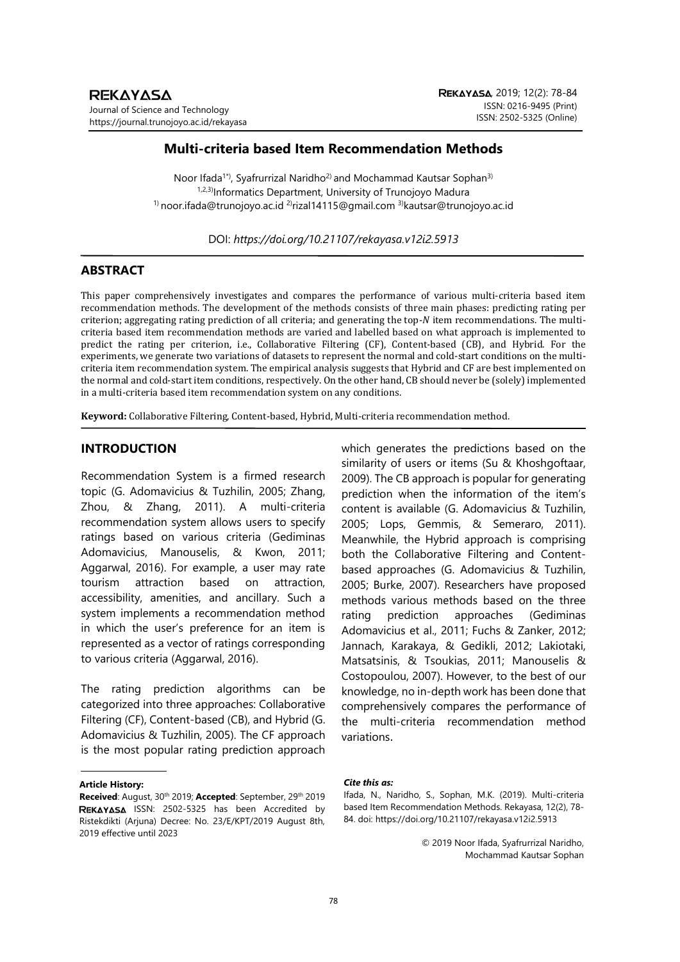# **Multi-criteria based Item Recommendation Methods**

Noor Ifada<sup>1\*</sup>, Syafrurrizal Naridho<sup>2)</sup> and Mochammad Kautsar Sophan<sup>3)</sup> 1,2,3)Informatics Department, University of Trunojoyo Madura  $1)$  noor.ifada@trunojoyo.ac.id  $2$ rizal14115@gmail.com  $3)$ kautsar@trunojoyo.ac.id

DOI: *https://doi.org/10.21107/rekayasa.v12i2.5913*

# **ABSTRACT**

This paper comprehensively investigates and compares the performance of various multi-criteria based item recommendation methods. The development of the methods consists of three main phases: predicting rating per criterion; aggregating rating prediction of all criteria; and generating the top- $N$  item recommendations. The multicriteria based item recommendation methods are varied and labelled based on what approach is implemented to predict the rating per criterion, i.e., Collaborative Filtering (CF), Content-based (CB), and Hybrid. For the experiments, we generate two variations of datasets to represent the normal and cold-start conditions on the multicriteria item recommendation system. The empirical analysis suggests that Hybrid and CF are best implemented on the normal and cold-start item conditions, respectively. On the other hand, CB should never be (solely) implemented in a multi-criteria based item recommendation system on any conditions.

**Keyword:** Collaborative Filtering, Content-based, Hybrid, Multi-criteria recommendation method.

# **INTRODUCTION**

Recommendation System is a firmed research topic (G. Adomavicius & Tuzhilin, 2005; Zhang, Zhou, & Zhang, 2011). A multi-criteria recommendation system allows users to specify ratings based on various criteria (Gediminas Adomavicius, Manouselis, & Kwon, 2011; Aggarwal, 2016). For example, a user may rate tourism attraction based on attraction, accessibility, amenities, and ancillary. Such a system implements a recommendation method in which the user's preference for an item is represented as a vector of ratings corresponding to various criteria (Aggarwal, 2016).

The rating prediction algorithms can be categorized into three approaches: Collaborative Filtering (CF), Content-based (CB), and Hybrid (G. Adomavicius & Tuzhilin, 2005). The CF approach is the most popular rating prediction approach

#### **Article History:**

which generates the predictions based on the similarity of users or items (Su & Khoshgoftaar, 2009). The CB approach is popular for generating prediction when the information of the item's content is available (G. Adomavicius & Tuzhilin, 2005; Lops, Gemmis, & Semeraro, 2011). Meanwhile, the Hybrid approach is comprising both the Collaborative Filtering and Contentbased approaches (G. Adomavicius & Tuzhilin, 2005; Burke, 2007). Researchers have proposed methods various methods based on the three rating prediction approaches (Gediminas Adomavicius et al., 2011; Fuchs & Zanker, 2012; Jannach, Karakaya, & Gedikli, 2012; Lakiotaki, Matsatsinis, & Tsoukias, 2011; Manouselis & Costopoulou, 2007). However, to the best of our knowledge, no in-depth work has been done that comprehensively compares the performance of the multi-criteria recommendation method variations.

#### *Cite this as:*

Ifada, N., Naridho, S., Sophan, M.K. (2019). Multi-criteria based Item Recommendation Methods. Rekayasa, 12(2), 78- 84. doi: https://doi.org/10.21107/rekayasa.v12i2.5913

> © 2019 Noor Ifada, Syafrurrizal Naridho, Mochammad Kautsar Sophan

**Received**: August, 30th 2019; **Accepted**: September, 29th 2019 REKAYASA ISSN: 2502-5325 has been Accredited by Ristekdikti (Arjuna) Decree: No. 23/E/KPT/2019 August 8th, 2019 effective until 2023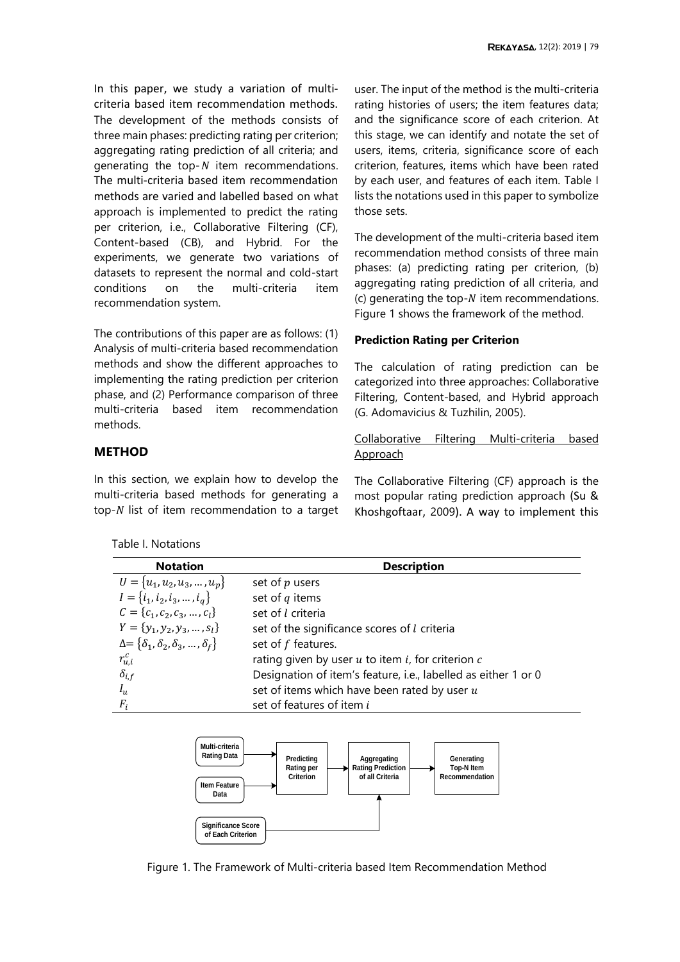In this paper, we study a variation of multicriteria based item recommendation methods. The development of the methods consists of three main phases: predicting rating per criterion; aggregating rating prediction of all criteria; and generating the top- $N$  item recommendations. The multi-criteria based item recommendation methods are varied and labelled based on what approach is implemented to predict the rating per criterion, i.e., Collaborative Filtering (CF), Content-based (CB), and Hybrid. For the experiments, we generate two variations of datasets to represent the normal and cold-start conditions on the multi-criteria item recommendation system.

The contributions of this paper are as follows: (1) Analysis of multi-criteria based recommendation methods and show the different approaches to implementing the rating prediction per criterion phase, and (2) Performance comparison of three multi-criteria based item recommendation methods.

# **METHOD**

In this section, we explain how to develop the multi-criteria based methods for generating a top- $N$  list of item recommendation to a target

<span id="page-1-0"></span>Table I. Notations

user. The input of the method is the multi-criteria rating histories of users; the item features data; and the significance score of each criterion. At this stage, we can identify and notate the set of users, items, criteria, significance score of each criterion, features, items which have been rated by each user, and features of each item. [Table I](#page-1-0) lists the notations used in this paper to symbolize those sets.

The development of the multi-criteria based item recommendation method consists of three main phases: (a) predicting rating per criterion, (b) aggregating rating prediction of all criteria, and (c) generating the top- $N$  item recommendations. [Figure 1](#page-1-1) shows the framework of the method.

### **Prediction Rating per Criterion**

The calculation of rating prediction can be categorized into three approaches: Collaborative Filtering, Content-based, and Hybrid approach (G. Adomavicius & Tuzhilin, 2005).

Collaborative Filtering Multi-criteria based **Approach** 

The Collaborative Filtering (CF) approach is the most popular rating prediction approach (Su & Khoshgoftaar, 2009). A way to implement this

| <b>Notation</b>                                         | <b>Description</b>                                             |
|---------------------------------------------------------|----------------------------------------------------------------|
| $U = \{u_1, u_2, u_3, , u_p\}$                          | set of $p$ users                                               |
| $I = \{i_1, i_2, i_3, , i_a\}$                          | set of $q$ items                                               |
| $C = \{c_1, c_2, c_3, , c_l\}$                          | set of l criteria                                              |
| $Y = \{y_1, y_2, y_3, , s_l\}$                          | set of the significance scores of l criteria                   |
| $\Delta = \{\delta_1, \delta_2, \delta_3, , \delta_f\}$ | set of f features.                                             |
| $r_{u,i}^c$                                             | rating given by user $u$ to item $i$ , for criterion $c$       |
| $\delta_{i,f}$                                          | Designation of item's feature, i.e., labelled as either 1 or 0 |
| $I_u$                                                   | set of items which have been rated by user $u$                 |
| $F_i$                                                   | set of features of item i                                      |



<span id="page-1-1"></span>Figure 1. The Framework of Multi-criteria based Item Recommendation Method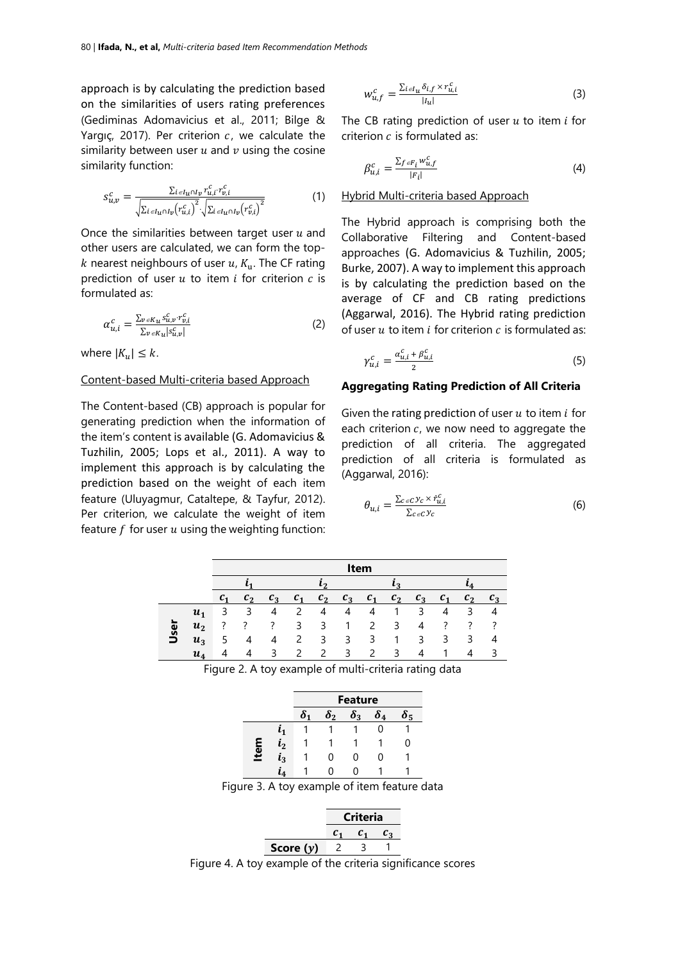approach is by calculating the prediction based on the similarities of users rating preferences (Gediminas Adomavicius et al., 2011; Bilge & Yargıç, 2017). Per criterion  $c$ , we calculate the similarity between user  $u$  and  $v$  using the cosine similarity function:

$$
s_{u,v}^c = \frac{\sum_{i \in I_u \cap I_v} r_{u,i}^c r_{v,i}^c}{\sqrt{\sum_{i \in I_u \cap I_v} (r_{u,i}^c)^2} \cdot \sqrt{\sum_{i \in I_u \cap I_v} (r_{v,i}^c)^2}}
$$
(1)

Once the similarities between target user  $u$  and other users are calculated, we can form the top k nearest neighbours of user  $u$ ,  $K_u$ . The CF rating prediction of user  $u$  to item  $i$  for criterion  $c$  is formulated as:

$$
\alpha_{u,i}^c = \frac{\sum_{v \in K_u} s_{u,v}^c \cdot r_{v,i}^c}{\sum_{v \in K_u} \left| s_{u,v}^c \right|} \tag{2}
$$

where  $|K_u| \leq k$ .

### Content-based Multi-criteria based Approach

The Content-based (CB) approach is popular for generating prediction when the information of the item's content is available (G. Adomavicius & Tuzhilin, 2005; Lops et al., 2011). A way to implement this approach is by calculating the prediction based on the weight of each item feature (Uluyagmur, Cataltepe, & Tayfur, 2012). Per criterion, we calculate the weight of item feature  $f$  for user  $u$  using the weighting function:

$$
w_{u,f}^c = \frac{\sum_{i \in I_u} \delta_{i,f} \times r_{u,i}^c}{|I_u|} \tag{3}
$$

The CB rating prediction of user  $u$  to item  $i$  for criterion  $c$  is formulated as:

$$
\beta_{u,i}^c = \frac{\sum_{f \in F_i} w_{u,f}^c}{|F_i|} \tag{4}
$$

### Hybrid Multi-criteria based Approach

The Hybrid approach is comprising both the Collaborative Filtering and Content-based approaches (G. Adomavicius & Tuzhilin, 2005; Burke, 2007). A way to implement this approach is by calculating the prediction based on the average of CF and CB rating predictions (Aggarwal, 2016). The Hybrid rating prediction of user  $u$  to item  $i$  for criterion  $c$  is formulated as:

$$
\gamma_{u,i}^c = \frac{\alpha_{u,i}^c + \beta_{u,i}^c}{2} \tag{5}
$$

### **Aggregating Rating Prediction of All Criteria**

Given the rating prediction of user  $u$  to item  $i$  for each criterion  $c$ , we now need to aggregate the prediction of all criteria. The aggregated prediction of all criteria is formulated as (Aggarwal, 2016):

$$
\theta_{u,i} = \frac{\sum_{c \in C} y_c \times \hat{r}_{u,i}^c}{\sum_{c \in C} y_c} \tag{6}
$$

|          |                | Item    |         |       |                 |                |          |                |         |       |         |                |       |
|----------|----------------|---------|---------|-------|-----------------|----------------|----------|----------------|---------|-------|---------|----------------|-------|
|          |                |         |         |       | l.n             |                | $\Omega$ |                |         |       |         |                |       |
|          |                | $c_{1}$ | $c_{2}$ | $c_3$ | $\mathcal{C}_1$ | c <sub>2</sub> | $c_3$    | c <sub>1</sub> | $c_{2}$ | $c_3$ | $c_{1}$ | c <sub>2</sub> | $c_3$ |
|          | $u_1$          |         | 3       |       | $\mathcal{P}$   | 4              | 4        | 4              |         | ς     | 4       | 3              |       |
| <u>G</u> | u <sub>2</sub> |         |         |       | 3               | 3              |          | $\mathcal{L}$  | 3       | 4     |         | 7              |       |
| ∍        | $u_3$          | כ       | 4       | 4     | $\mathcal{P}$   | 3              | 3        | 3              |         | 3     | 3       | 3              | 4     |
|          | $u_{\rm A}$    |         |         |       | 2               | $\mathcal{P}$  | 3        | $\mathcal{L}$  | ₹       |       |         | Δ              |       |

<span id="page-2-0"></span>

| <b>Feature</b>                                        |  |
|-------------------------------------------------------|--|
| Figure 2. A toy example of multi-criteria rating data |  |

|      |                    | reature                 |          |                  |            |            |  |  |
|------|--------------------|-------------------------|----------|------------------|------------|------------|--|--|
|      |                    | $\boldsymbol{\delta}_1$ | $\delta$ | $\pmb{\delta}_3$ | $\delta_4$ | $\delta_5$ |  |  |
|      | ι1                 |                         |          |                  | 0          |            |  |  |
| Item | $\boldsymbol{i_2}$ |                         |          |                  |            | 0          |  |  |
|      | $\bm{i}_3$         |                         | 0        | O                | O          |            |  |  |
|      | l 4                |                         | 0        | 0                |            |            |  |  |
|      |                    |                         |          |                  |            |            |  |  |

Figure 3. A toy example of item feature data

|             |  | Criteria |  |  |  |  |
|-------------|--|----------|--|--|--|--|
|             |  |          |  |  |  |  |
| Score $(y)$ |  |          |  |  |  |  |

<span id="page-2-2"></span><span id="page-2-1"></span>Figure 4. A toy example of the criteria significance scores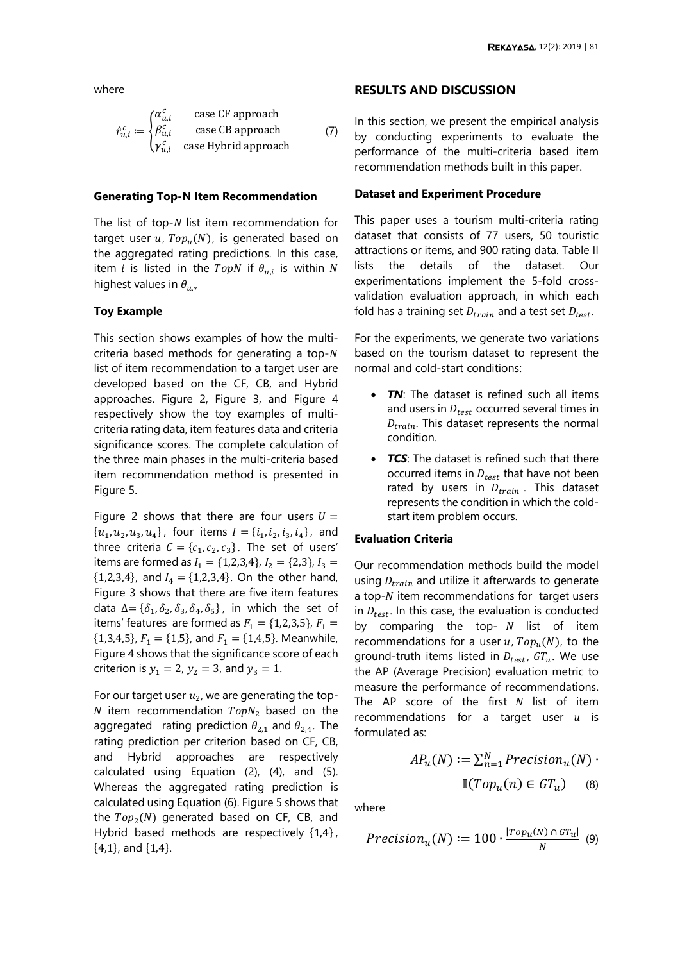where

$$
\hat{r}_{u,i}^c := \begin{cases} \alpha_{u,i}^c & \text{case CF approach} \\ \beta_{u,i}^c & \text{case CB approach} \\ \gamma_{u,i}^c & \text{case Hybrid approach} \end{cases}
$$
 (7)

#### **Generating Top-N Item Recommendation**

The list of top- $N$  list item recommendation for target user  $u$ ,  $Top_u(N)$ , is generated based on the aggregated rating predictions. In this case, item  $i$  is listed in the  $TopN$  if  $\theta_{u,i}$  is within  $N$ highest values in  $\theta_{u*}$ 

# **Toy Example**

This section shows examples of how the multicriteria based methods for generating a top- $N$ list of item recommendation to a target user are developed based on the CF, CB, and Hybrid approaches. [Figure 2,](#page-2-0) [Figure 3,](#page-2-1) and [Figure 4](#page-2-2) respectively show the toy examples of multicriteria rating data, item features data and criteria significance scores. The complete calculation of the three main phases in the multi-criteria based item recommendation method is presented in [Figure 5.](#page-4-0)

[Figure 2](#page-2-0) shows that there are four users  $U =$  $\{u_1, u_2, u_3, u_4\}$ , four items  $I = \{i_1, i_2, i_3, i_4\}$ , and three criteria  $C = \{c_1, c_2, c_3\}$ . The set of users' items are formed as  $I_1 = \{1,2,3,4\}$ ,  $I_2 = \{2,3\}$ ,  $I_3 =$  ${1,2,3,4}$ , and  $I_4 = {1,2,3,4}$ . On the other hand, [Figure 3](#page-2-1) shows that there are five item features data  $\Delta = {\delta_1, \delta_2, \delta_3, \delta_4, \delta_5}$ , in which the set of items' features are formed as  $F_1 = \{1,2,3,5\}$ ,  $F_1 =$  ${1,3,4,5}$ ,  $F_1 = {1,5}$ , and  $F_1 = {1,4,5}$ . Meanwhile, [Figure 4](#page-2-2) shows that the significance score of each criterion is  $y_1 = 2$ ,  $y_2 = 3$ , and  $y_3 = 1$ .

For our target user  $u_2$ , we are generating the top-N item recommendation  $TopN<sub>2</sub>$  based on the aggregated rating prediction  $\theta_{2,1}$  and  $\theta_{2,4}$ . The rating prediction per criterion based on CF, CB, and Hybrid approaches are respectively calculated using Equation (2), (4), and (5). Whereas the aggregated rating prediction is calculated using Equation (6). [Figure 5](#page-4-0) shows that the  $Top<sub>2</sub>(N)$  generated based on CF, CB, and Hybrid based methods are respectively {1,4} , {4,1}, and {1,4}.

### **RESULTS AND DISCUSSION**

In this section, we present the empirical analysis by conducting experiments to evaluate the performance of the multi-criteria based item recommendation methods built in this paper.

### **Dataset and Experiment Procedure**

This paper uses a tourism multi-criteria rating dataset that consists of 77 users, 50 touristic attractions or items, and 900 rating data. [Table II](#page-5-0) lists the details of the dataset. Our experimentations implement the 5-fold crossvalidation evaluation approach, in which each fold has a training set  $D_{train}$  and a test set  $D_{test}$ .

For the experiments, we generate two variations based on the tourism dataset to represent the normal and cold-start conditions:

- **TN**: The dataset is refined such all items and users in  $D_{test}$  occurred several times in  $D_{train}$ . This dataset represents the normal condition.
- *TCS*: The dataset is refined such that there occurred items in  $D_{test}$  that have not been rated by users in  $D_{train}$ . This dataset represents the condition in which the coldstart item problem occurs.

#### **Evaluation Criteria**

Our recommendation methods build the model using  $D_{train}$  and utilize it afterwards to generate a top- $N$  item recommendations for target users in  $D_{test}$ . In this case, the evaluation is conducted by comparing the top-  $N$  list of item recommendations for a user u,  $Top_u(N)$ , to the ground-truth items listed in  $D_{test}$ ,  $GT_u$ . We use the AP (Average Precision) evaluation metric to measure the performance of recommendations. The AP score of the first  $N$  list of item recommendations for a target user  $u$  is formulated as:

$$
AP_u(N) := \sum_{n=1}^{N} Precision_u(N) \cdot \mathbb{I}(Top_u(n) \in GT_u)
$$
 (8)

where

$$
Precision_u(N) := 100 \cdot \frac{|Top_u(N) \cap GT_u|}{N} \tag{9}
$$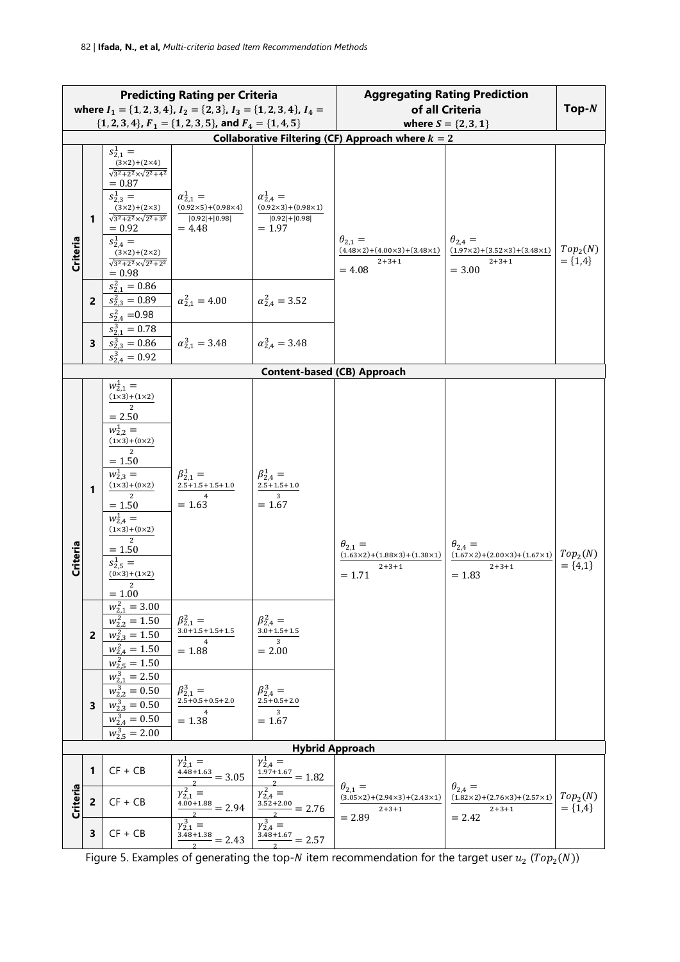| <b>Predicting Rating per Criteria</b>                                                                                                             |   |                                                                                                                                                                                                                                                                                            | <b>Aggregating Rating Prediction</b>                                                       |                                                                                            |                                                                                                      |                                                                                            |                                     |  |
|---------------------------------------------------------------------------------------------------------------------------------------------------|---|--------------------------------------------------------------------------------------------------------------------------------------------------------------------------------------------------------------------------------------------------------------------------------------------|--------------------------------------------------------------------------------------------|--------------------------------------------------------------------------------------------|------------------------------------------------------------------------------------------------------|--------------------------------------------------------------------------------------------|-------------------------------------|--|
|                                                                                                                                                   |   |                                                                                                                                                                                                                                                                                            | where $I_1 = \{1, 2, 3, 4\}$ , $I_2 = \{2, 3\}$ , $I_3 = \{1, 2, 3, 4\}$ , $I_4 =$         |                                                                                            | of all Criteria                                                                                      | $Top-N$                                                                                    |                                     |  |
| $\{1, 2, 3, 4\}, F_1 = \{1, 2, 3, 5\},$ and $F_4 = \{1, 4, 5\}$<br>where $S = \{2, 3, 1\}$<br>Collaborative Filtering (CF) Approach where $k = 2$ |   |                                                                                                                                                                                                                                                                                            |                                                                                            |                                                                                            |                                                                                                      |                                                                                            |                                     |  |
| Criteria                                                                                                                                          | 1 | $s_{2,1}^1 =$<br>$\frac{(3\times2)+(2\times4)}{\sqrt{3^2+2^2}\times\sqrt{2^2+4^2}}$<br>$= 0.87$<br>$s_{2,3}^1 =$<br>$(3x2)+(2x3)$<br>$\sqrt{3^2+2^2} \times \sqrt{2^2+3^2}$<br>$= 0.92$<br>$s_{2.4}^1 =$<br>$\frac{(3\times2)+(2\times2)}{\sqrt{3^2+2^2}\times\sqrt{2^2+2^2}}$<br>$= 0.98$ | $\alpha_{2.1}^1 =$<br>$(0.92 \times 5) + (0.98 \times 4)$<br>$ 0.92  +  0.98 $<br>$= 4.48$ | $\alpha_{2.4}^{1} =$<br>$(0.92 \times 3) + (0.98 \times 1)$<br>$ 0.92 + 0.98 $<br>$= 1.97$ | $\theta_{2,1} =$<br>$(4.48\times2)+(4.00\times3)+(3.48\times1)$<br>$2 + 3 + 1$<br>$= 4.08$           | $\theta_{2,4} =$<br>$(1.97\times2)+(3.52\times3)+(3.48\times1)$<br>$2 + 3 + 1$<br>$= 3.00$ | Top <sub>2</sub> (N)<br>$= \{1,4\}$ |  |
|                                                                                                                                                   | 2 | $s_{2.1}^2 = 0.86$<br>$s_{2,3}^2 = 0.89$<br>$s_{24}^2 = 0.98$                                                                                                                                                                                                                              | $\alpha_{2.1}^2 = 4.00$                                                                    | $\alpha_{2.4}^2 = 3.52$                                                                    |                                                                                                      |                                                                                            |                                     |  |
|                                                                                                                                                   | 3 | $s_{2.1}^3 = 0.78$<br>$s_{2.3}^3 = 0.86$<br>$s_{2,4}^3 = 0.92$                                                                                                                                                                                                                             | $\alpha_{2.1}^3 = 3.48$                                                                    | $\alpha_{2.4}^3 = 3.48$                                                                    |                                                                                                      |                                                                                            |                                     |  |
|                                                                                                                                                   |   |                                                                                                                                                                                                                                                                                            |                                                                                            |                                                                                            | <b>Content-based (CB) Approach</b>                                                                   |                                                                                            |                                     |  |
| Criteria                                                                                                                                          | 1 | $w_{2,1}^1 =$<br>$(1x3)+(1x2)$<br>$= 2.50$<br>$w_{2,2}^1 =$<br>$(1x3)+(0x2)$<br>$= 1.50$<br>$w_{2,3}^1 =$<br>$(1x3)+(0x2)$<br>$\mathfrak{D}$<br>$= 1.50$<br>$w_{2,4}^1 =$<br>$(1x3)+(0x2)$<br>2<br>$= 1.50$<br>$s_{2,5}^1 =$<br>$(0x3)+(1x2)$<br>2<br>$= 1.00$                             | $\beta_{2,1}^1 =$<br>$2.5+1.5+1.5+1.0$<br>$\overline{4}$<br>$= 1.63$                       | $\beta_{2,4}^{1} =$<br>$2.5 + 1.5 + 1.0$<br>$\overline{3}$<br>$= 1.67$                     | $\theta_{2.1} =$<br>$(1.63 \times 2) + (1.88 \times 3) + (1.38 \times 1)$<br>$2 + 3 + 1$<br>$= 1.71$ | $\theta_{2,4} =$<br>$(1.67\times2)+(2.00\times3)+(1.67\times1)$<br>$2 + 3 + 1$<br>$= 1.83$ | Top <sub>2</sub> (N)<br>$= \{4,1\}$ |  |
|                                                                                                                                                   | 2 | $w_{2,1}^2 = 3.00$<br>$w_{2,2}^2 = 1.50$<br>$w_{2,3}^2 = 1.50$<br>$w_{2,4}^2 = 1.50$<br>$w_{2,5}^2 = 1.50$                                                                                                                                                                                 | $\beta_{2,1}^2 =$<br>$3.0 + 1.5 + 1.5 + 1.5$<br>4<br>$= 1.88$                              | $\beta_{2,4}^2 =$<br>$3.0 + 1.5 + 1.5$<br>3<br>$= 2.00$                                    |                                                                                                      |                                                                                            |                                     |  |
|                                                                                                                                                   | 3 | $w_{2.1}^3 = 2.50$<br>$w_{2,2}^3 = 0.50$<br>$w_{2,3}^3 = 0.50$<br>$\overline{w_{2,4}^3} = 0.50$<br>$w_{2.5}^3$ = 2.00                                                                                                                                                                      | $\beta_{2,1}^3 =$<br>$2.5\!+\!0.5\!+\!0.5\!+\!2.0$<br>$\overline{\mathbf{4}}$<br>$= 1.38$  | $\beta_{2,4}^{3} =$<br>$2.5 + 0.5 + 2.0$<br>3<br>$= 1.67$                                  |                                                                                                      |                                                                                            |                                     |  |
|                                                                                                                                                   |   |                                                                                                                                                                                                                                                                                            |                                                                                            |                                                                                            | <b>Hybrid Approach</b>                                                                               |                                                                                            |                                     |  |
|                                                                                                                                                   | 1 | $CF + CB$                                                                                                                                                                                                                                                                                  | $\gamma_{2,1}^1 =$<br>$\frac{4.48 + 1.63}{2} = 3.05$                                       | $\overline{y_{2,4}^1} =$<br>$\frac{1.97 + 1.67}{1.97 + 1.67} = 1.82$                       | $\theta_{2,1} =$                                                                                     | $\theta_{2,4} =$                                                                           |                                     |  |
| Criteria                                                                                                                                          | 2 | $CF + CB$                                                                                                                                                                                                                                                                                  | $\gamma_{2,1}^2 =$<br>$\frac{4.00+1.88}{2} = 2.94$                                         | $\gamma_{2,4}^2 =$<br>$\frac{3.52+2.00}{2} = 2.76$                                         | $(3.05 \times 2) + (2.94 \times 3) + (2.43 \times 1)$<br>$2 + 3 + 1$<br>$= 2.89$                     | $(1.82 \times 2) + (2.76 \times 3) + (2.57 \times 1)$<br>$2 + 3 + 1$<br>$= 2.42$           | Top <sub>2</sub> (N)<br>$= \{1,4\}$ |  |
|                                                                                                                                                   | 3 | $CF + CB$                                                                                                                                                                                                                                                                                  | $\gamma_{2,1}^3 =$<br>$\frac{3.\overline{48}+1.38}{2} = 2.43$                              | $\gamma_{2,4}^{3} =$<br>$\frac{3.48 + 1.67}{2} = 2.57$                                     |                                                                                                      |                                                                                            |                                     |  |

<span id="page-4-0"></span> $\frac{1}{2}$   $\frac{2}{2}$   $\frac{2}{2}$   $\frac{2}{2}$   $\frac{2}{2}$   $\frac{2}{2}$   $\frac{2}{2}$   $\frac{2}{2}$   $\frac{2}{2}$   $\frac{2}{2}$   $\frac{2}{2}$   $\frac{2}{2}$   $\frac{2}{2}$   $\frac{2}{2}$   $\frac{2}{2}$   $\frac{2}{2}$   $\frac{2}{2}$   $\frac{2}{2}$   $\frac{2}{2}$   $\frac{2}{2}$   $\frac{2}{2}$   $\frac{2}{2}$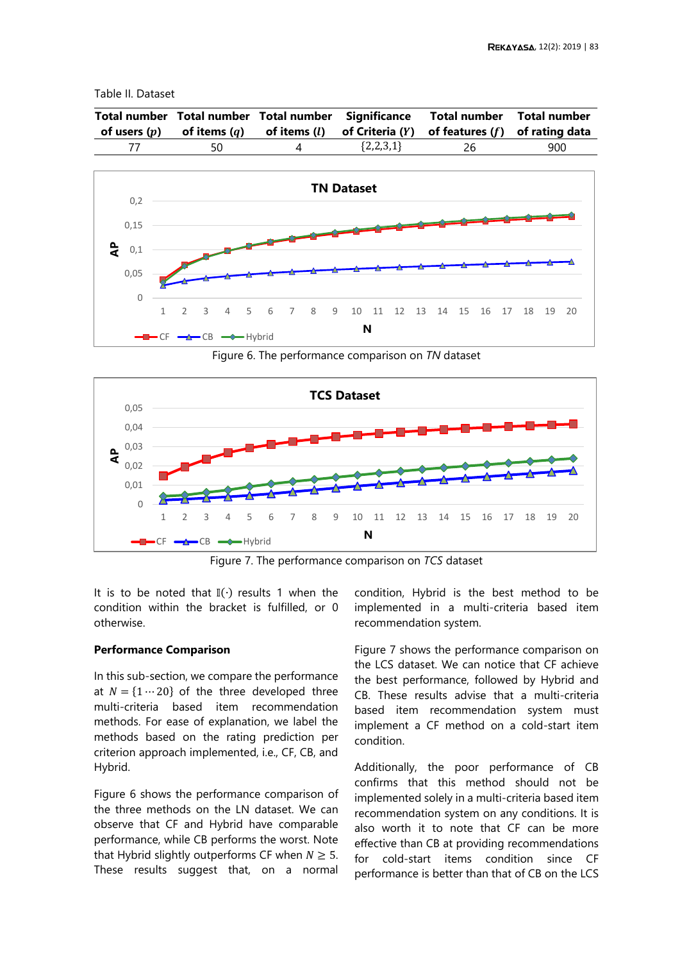# <span id="page-5-0"></span>Table II. Dataset

| of users $(p)$ of items $(q)$ |   |             | Total number Total number Total number Significance Total number Total number<br>of items $(l)$ of Criteria $(Y)$ of features $(f)$ of rating data |     |
|-------------------------------|---|-------------|----------------------------------------------------------------------------------------------------------------------------------------------------|-----|
| 50                            | 4 | ${2,2,3,1}$ | 26                                                                                                                                                 | 900 |



Figure 6. The performance comparison on *TN* dataset

<span id="page-5-1"></span>

Figure 7. The performance comparison on *TCS* dataset

<span id="page-5-2"></span>It is to be noted that  $\mathbb{I}(\cdot)$  results 1 when the condition within the bracket is fulfilled, or 0 otherwise.

# **Performance Comparison**

In this sub-section, we compare the performance at  $N = \{1 \cdots 20\}$  of the three developed three multi-criteria based item recommendation methods. For ease of explanation, we label the methods based on the rating prediction per criterion approach implemented, i.e., CF, CB, and Hybrid.

[Figure 6](#page-5-1) shows the performance comparison of the three methods on the LN dataset. We can observe that CF and Hybrid have comparable performance, while CB performs the worst. Note that Hybrid slightly outperforms CF when  $N \geq 5$ . These results suggest that, on a normal condition, Hybrid is the best method to be implemented in a multi-criteria based item recommendation system.

[Figure 7](#page-5-2) shows the performance comparison on the LCS dataset. We can notice that CF achieve the best performance, followed by Hybrid and CB. These results advise that a multi-criteria based item recommendation system must implement a CF method on a cold-start item condition.

Additionally, the poor performance of CB confirms that this method should not be implemented solely in a multi-criteria based item recommendation system on any conditions. It is also worth it to note that CF can be more effective than CB at providing recommendations for cold-start items condition since CF performance is better than that of CB on the LCS